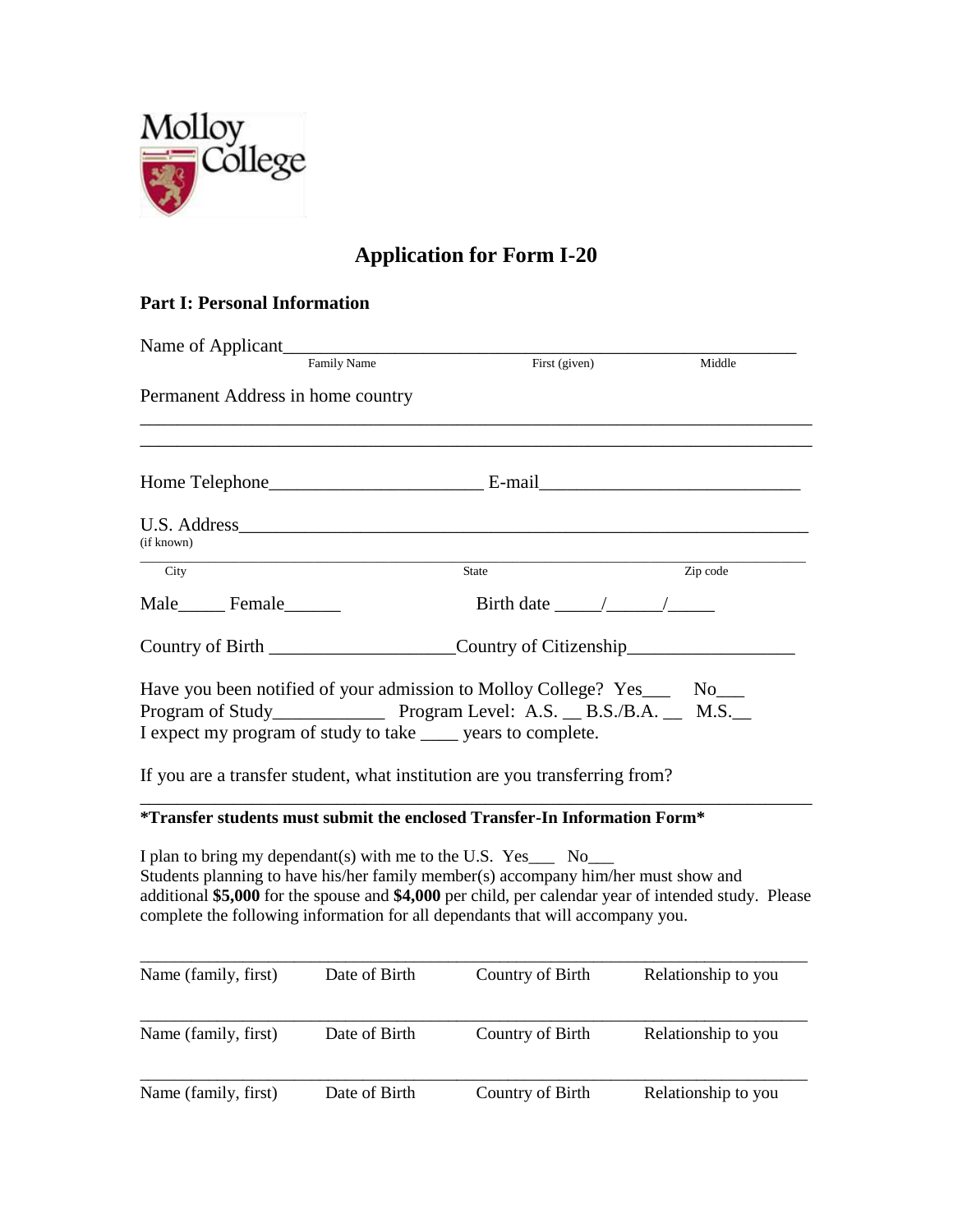

## **Application for Form I-20**

## **Part I: Personal Information**

| Name of Applicant                                              |               |                                                                                                                                                                      |                                                                                                      |
|----------------------------------------------------------------|---------------|----------------------------------------------------------------------------------------------------------------------------------------------------------------------|------------------------------------------------------------------------------------------------------|
|                                                                | Family Name   | First (given)                                                                                                                                                        | Middle                                                                                               |
| Permanent Address in home country                              |               |                                                                                                                                                                      |                                                                                                      |
|                                                                |               |                                                                                                                                                                      |                                                                                                      |
| U.S. Address<br>(if known)                                     |               |                                                                                                                                                                      |                                                                                                      |
| City                                                           |               | <b>State</b>                                                                                                                                                         | Zip code                                                                                             |
| Male_________ Female_________                                  |               | Birth date $\frac{\sqrt{2}}{2}$                                                                                                                                      |                                                                                                      |
|                                                                |               | Country of Citizenship                                                                                                                                               |                                                                                                      |
| I expect my program of study to take ______ years to complete. |               | Have you been notified of your admission to Molloy College? Yes_____ No___<br>If you are a transfer student, what institution are you transferring from?             |                                                                                                      |
|                                                                |               | *Transfer students must submit the enclosed Transfer-In Information Form*                                                                                            |                                                                                                      |
| I plan to bring my dependant(s) with me to the U.S. Yes___ No_ |               | Students planning to have his/her family member(s) accompany him/her must show and<br>complete the following information for all dependants that will accompany you. | additional \$5,000 for the spouse and \$4,000 per child, per calendar year of intended study. Please |
| Name (family, first)                                           | Date of Birth | Country of Birth                                                                                                                                                     | Relationship to you                                                                                  |
| Name (family, first)                                           | Date of Birth | Country of Birth                                                                                                                                                     | Relationship to you                                                                                  |
| Name (family, first)                                           | Date of Birth | Country of Birth                                                                                                                                                     | Relationship to you                                                                                  |